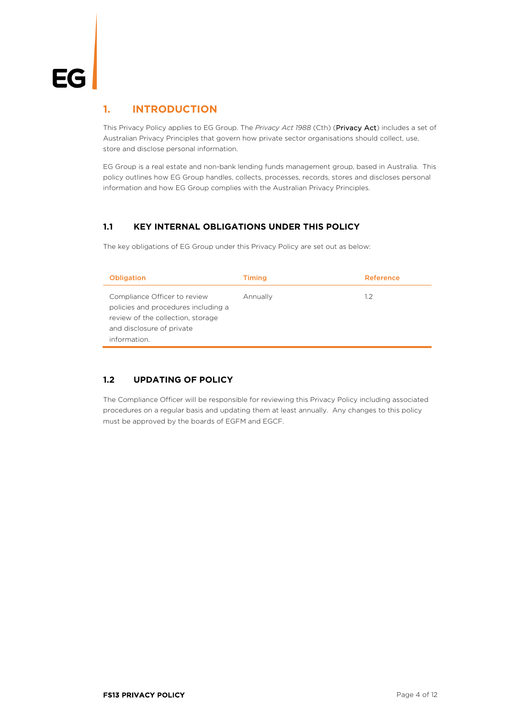#### **1. INTRODUCTION**

This Privacy Policy applies to EG Group. The *Privacy Act 1988* (Cth) (Privacy Act) includes a set of Australian Privacy Principles that govern how private sector organisations should collect, use, store and disclose personal information.

EG Group is a real estate and non-bank lending funds management group, based in Australia. This policy outlines how EG Group handles, collects, processes, records, stores and discloses personal information and how EG Group complies with the Australian Privacy Principles.

#### **1.1 KEY INTERNAL OBLIGATIONS UNDER THIS POLICY**

The key obligations of EG Group under this Privacy Policy are set out as below:

| <b>Obligation</b>                                                                                                                                     | <b>Timing</b> | Reference |
|-------------------------------------------------------------------------------------------------------------------------------------------------------|---------------|-----------|
| Compliance Officer to review<br>policies and procedures including a<br>review of the collection, storage<br>and disclosure of private<br>information. | Annually      | 1.2       |

#### **1.2 UPDATING OF POLICY**

The Compliance Officer will be responsible for reviewing this Privacy Policy including associated procedures on a regular basis and updating them at least annually. Any changes to this policy must be approved by the boards of EGFM and EGCF.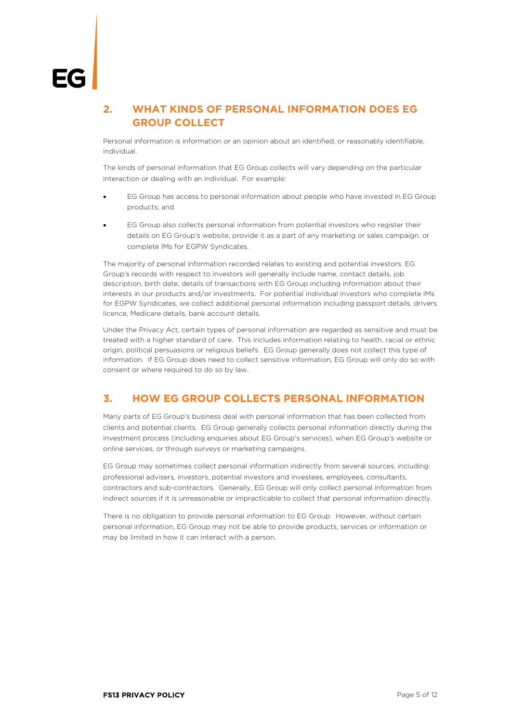# **2. WHAT KINDS OF PERSONAL INFORMATION DOES EG GROUP COLLECT**

Personal information is information or an opinion about an identified, or reasonably identifiable, individual.

The kinds of personal information that EG Group collects will vary depending on the particular interaction or dealing with an individual. For example:

- EG Group has access to personal information about people who have invested in EG Group products; and
- EG Group also collects personal information from potential investors who register their details on EG Group's website, provide it as a part of any marketing or sales campaign, or complete IMs for EGPW Syndicates.

The majority of personal information recorded relates to existing and potential investors. EG Group's records with respect to investors will generally include name, contact details, job description, birth date, details of transactions with EG Group including information about their interests in our products and/or investments. For potential individual investors who complete IMs for EGPW Syndicates, we collect additional personal information including passport details, drivers licence, Medicare details, bank account details.

Under the Privacy Act, certain types of personal information are regarded as sensitive and must be treated with a higher standard of care. This includes information relating to health, racial or ethnic origin, political persuasions or religious beliefs. EG Group generally does not collect this type of information. If EG Group does need to collect sensitive information, EG Group will only do so with consent or where required to do so by law.

# **3. HOW EG GROUP COLLECTS PERSONAL INFORMATION**

Many parts of EG Group's business deal with personal information that has been collected from clients and potential clients. EG Group generally collects personal information directly during the investment process (including enquiries about EG Group's services), when EG Group's website or online services, or through surveys or marketing campaigns.

EG Group may sometimes collect personal information indirectly from several sources, including: professional advisers, investors, potential investors and investees, employees, consultants, contractors and sub-contractors. Generally, EG Group will only collect personal information from indirect sources if it is unreasonable or impracticable to collect that personal information directly.

There is no obligation to provide personal information to EG Group. However, without certain personal information, EG Group may not be able to provide products, services or information or may be limited in how it can interact with a person.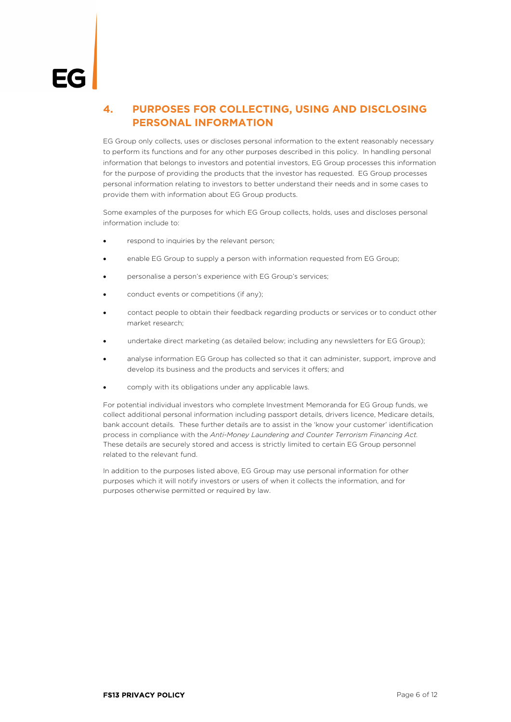# <span id="page-2-0"></span>**4. PURPOSES FOR COLLECTING, USING AND DISCLOSING PERSONAL INFORMATION**

EG Group only collects, uses or discloses personal information to the extent reasonably necessary to perform its functions and for any other purposes described in this policy. In handling personal information that belongs to investors and potential investors, EG Group processes this information for the purpose of providing the products that the investor has requested. EG Group processes personal information relating to investors to better understand their needs and in some cases to provide them with information about EG Group products.

Some examples of the purposes for which EG Group collects, holds, uses and discloses personal information include to:

- respond to inquiries by the relevant person:
- enable EG Group to supply a person with information requested from EG Group;
- personalise a person's experience with EG Group's services;
- conduct events or competitions (if any);
- contact people to obtain their feedback regarding products or services or to conduct other market research;
- undertake direct marketing (as detailed below; including any newsletters for EG Group);
- analyse information EG Group has collected so that it can administer, support, improve and develop its business and the products and services it offers; and
- comply with its obligations under any applicable laws.

For potential individual investors who complete Investment Memoranda for EG Group funds, we collect additional personal information including passport details, drivers licence, Medicare details, bank account details. These further details are to assist in the 'know your customer' identification process in compliance with the *Anti-Money Laundering and Counter Terrorism Financing Act.*  These details are securely stored and access is strictly limited to certain EG Group personnel related to the relevant fund.

In addition to the purposes listed above, EG Group may use personal information for other purposes which it will notify investors or users of when it collects the information, and for purposes otherwise permitted or required by law.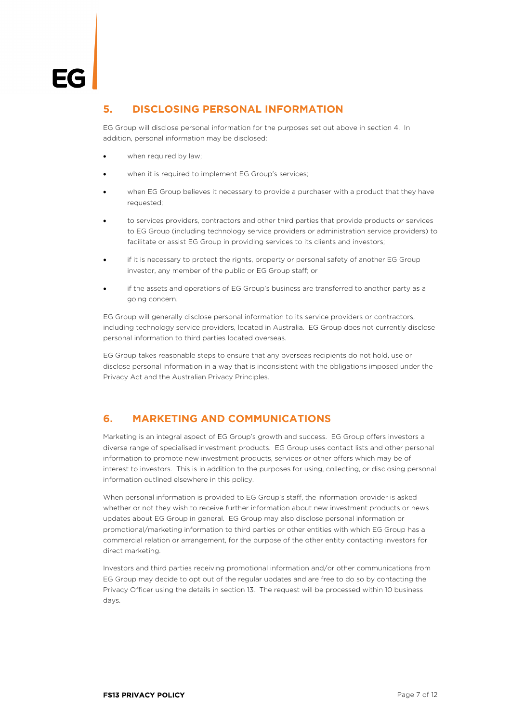#### **5. DISCLOSING PERSONAL INFORMATION**

EG Group will disclose personal information for the purposes set out above in section [4.](#page-2-0) In addition, personal information may be disclosed:

- when required by law;
- when it is required to implement EG Group's services;
- when EG Group believes it necessary to provide a purchaser with a product that they have requested;
- to services providers, contractors and other third parties that provide products or services to EG Group (including technology service providers or administration service providers) to facilitate or assist EG Group in providing services to its clients and investors;
- if it is necessary to protect the rights, property or personal safety of another EG Group investor, any member of the public or EG Group staff; or
- if the assets and operations of EG Group's business are transferred to another party as a going concern.

EG Group will generally disclose personal information to its service providers or contractors, including technology service providers, located in Australia. EG Group does not currently disclose personal information to third parties located overseas.

EG Group takes reasonable steps to ensure that any overseas recipients do not hold, use or disclose personal information in a way that is inconsistent with the obligations imposed under the Privacy Act and the Australian Privacy Principles.

# **6. MARKETING AND COMMUNICATIONS**

Marketing is an integral aspect of EG Group's growth and success. EG Group offers investors a diverse range of specialised investment products. EG Group uses contact lists and other personal information to promote new investment products, services or other offers which may be of interest to investors. This is in addition to the purposes for using, collecting, or disclosing personal information outlined elsewhere in this policy.

When personal information is provided to EG Group's staff, the information provider is asked whether or not they wish to receive further information about new investment products or news updates about EG Group in general. EG Group may also disclose personal information or promotional/marketing information to third parties or other entities with which EG Group has a commercial relation or arrangement, for the purpose of the other entity contacting investors for direct marketing.

Investors and third parties receiving promotional information and/or other communications from EG Group may decide to opt out of the regular updates and are free to do so by contacting the Privacy Officer using the details in section [13.](#page-6-0) The request will be processed within 10 business days.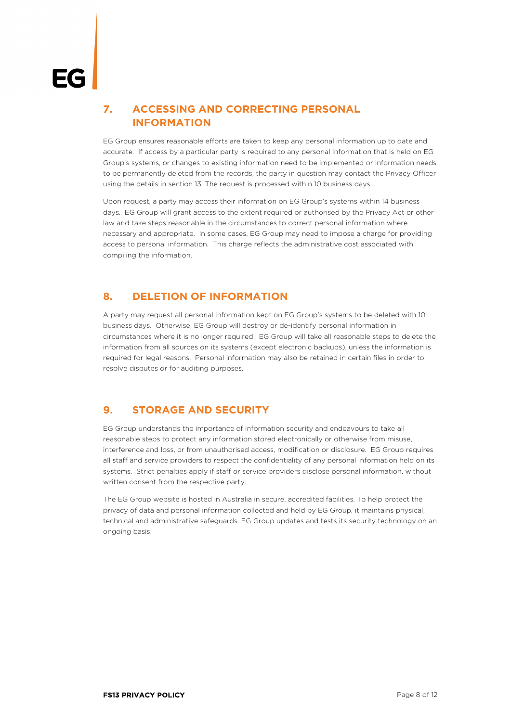# **7. ACCESSING AND CORRECTING PERSONAL INFORMATION**

EG Group ensures reasonable efforts are taken to keep any personal information up to date and accurate. If access by a particular party is required to any personal information that is held on EG Group's systems, or changes to existing information need to be implemented or information needs to be permanently deleted from the records, the party in question may contact the Privacy Officer using the details in section [13.](#page-6-0) The request is processed within 10 business days.

Upon request, a party may access their information on EG Group's systems within 14 business days. EG Group will grant access to the extent required or authorised by the Privacy Act or other law and take steps reasonable in the circumstances to correct personal information where necessary and appropriate. In some cases, EG Group may need to impose a charge for providing access to personal information. This charge reflects the administrative cost associated with compiling the information.

### **8. DELETION OF INFORMATION**

A party may request all personal information kept on EG Group's systems to be deleted with 10 business days. Otherwise, EG Group will destroy or de-identify personal information in circumstances where it is no longer required. EG Group will take all reasonable steps to delete the information from all sources on its systems (except electronic backups), unless the information is required for legal reasons. Personal information may also be retained in certain files in order to resolve disputes or for auditing purposes.

# **9. STORAGE AND SECURITY**

EG Group understands the importance of information security and endeavours to take all reasonable steps to protect any information stored electronically or otherwise from misuse, interference and loss, or from unauthorised access, modification or disclosure. EG Group requires all staff and service providers to respect the confidentiality of any personal information held on its systems. Strict penalties apply if staff or service providers disclose personal information, without written consent from the respective party.

The EG Group website is hosted in Australia in secure, accredited facilities. To help protect the privacy of data and personal information collected and held by EG Group, it maintains physical, technical and administrative safeguards. EG Group updates and tests its security technology on an ongoing basis.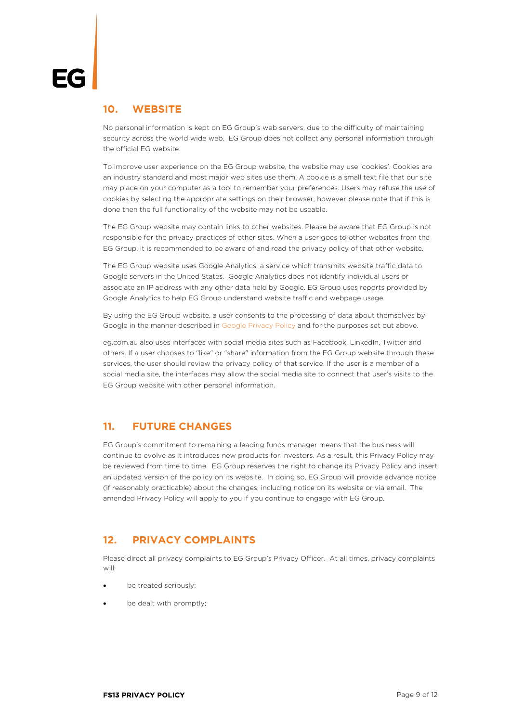#### **10. WEBSITE**

No personal information is kept on EG Group's web servers, due to the difficulty of maintaining security across the world wide web. EG Group does not collect any personal information through the official EG website.

To improve user experience on the EG Group website, the website may use 'cookies'. Cookies are an industry standard and most major web sites use them. A cookie is a small text file that our site may place on your computer as a tool to remember your preferences. Users may refuse the use of cookies by selecting the appropriate settings on their browser, however please note that if this is done then the full functionality of the website may not be useable.

The EG Group website may contain links to other websites. Please be aware that EG Group is not responsible for the privacy practices of other sites. When a user goes to other websites from the EG Group, it is recommended to be aware of and read the privacy policy of that other website.

The EG Group website uses Google Analytics, a service which transmits website traffic data to Google servers in the United States. Google Analytics does not identify individual users or associate an IP address with any other data held by Google. EG Group uses reports provided by Google Analytics to help EG Group understand website traffic and webpage usage.

By using the EG Group website, a user consents to the processing of data about themselves by Google in the manner described in [Google Privacy Policy](https://policies.google.com/privacy?hl=en-GB) and for the purposes set out above.

eg.com.au also uses interfaces with social media sites such as Facebook, LinkedIn, Twitter and others. If a user chooses to "like" or "share" information from the EG Group website through these services, the user should review the privacy policy of that service. If the user is a member of a social media site, the interfaces may allow the social media site to connect that user's visits to the EG Group website with other personal information.

### **11. FUTURE CHANGES**

EG Group's commitment to remaining a leading funds manager means that the business will continue to evolve as it introduces new products for investors. As a result, this Privacy Policy may be reviewed from time to time. EG Group reserves the right to change its Privacy Policy and insert an updated version of the policy on its website. In doing so, EG Group will provide advance notice (if reasonably practicable) about the changes, including notice on its website or via email. The amended Privacy Policy will apply to you if you continue to engage with EG Group.

### **12. PRIVACY COMPLAINTS**

Please direct all privacy complaints to EG Group's Privacy Officer. At all times, privacy complaints will:

- be treated seriously;
- be dealt with promptly;